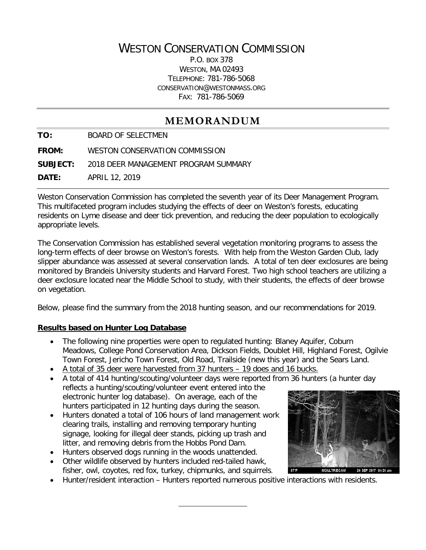# WESTON CONSERVATION COMMISSION

P.O. BOX 378 WESTON, MA 02493 TELEPHONE: 781-786-5068 CONSERVATION@WESTONMASS.ORG FAX: 781-786-5069

# **MEMORANDUM**

**TO:** BOARD OF SELECTMEN

**FROM:** WESTON CONSERVATION COMMISSION

**SUBJECT:** 2018 DEER MANAGEMENT PROGRAM SUMMARY

**DATE:** APRIL 12, 2019

Weston Conservation Commission has completed the seventh year of its Deer Management Program. This multifaceted program includes studying the effects of deer on Weston's forests, educating residents on Lyme disease and deer tick prevention, and reducing the deer population to ecologically appropriate levels.

The Conservation Commission has established several vegetation monitoring programs to assess the long-term effects of deer browse on Weston's forests. With help from the Weston Garden Club, lady slipper abundance was assessed at several conservation lands. A total of ten deer exclosures are being monitored by Brandeis University students and Harvard Forest. Two high school teachers are utilizing a deer exclosure located near the Middle School to study, with their students, the effects of deer browse on vegetation.

Below, please find the summary from the 2018 hunting season, and our recommendations for 2019.

#### **Results based on Hunter Log Database**

- The following nine properties were open to regulated hunting: Blaney Aquifer, Coburn Meadows, College Pond Conservation Area, Dickson Fields, Doublet Hill, Highland Forest, Ogilvie Town Forest, Jericho Town Forest, Old Road, Trailside (new this year) and the Sears Land.
- A total of 35 deer were harvested from 37 hunters 19 does and 16 bucks.
- A total of 414 hunting/scouting/volunteer days were reported from 36 hunters (a hunter day reflects a hunting/scouting/volunteer event entered into the electronic hunter log database). On average, each of the hunters participated in 12 hunting days during the season.
- Hunters donated a total of 106 hours of land management work clearing trails, installing and removing temporary hunting signage, looking for illegal deer stands, picking up trash and litter, and removing debris from the Hobbs Pond Dam.
- Hunters observed dogs running in the woods unattended.
- Other wildlife observed by hunters included red-tailed hawk, fisher, owl, coyotes, red fox, turkey, chipmunks, and squirrels.
- Hunter/resident interaction Hunters reported numerous positive interactions with residents.